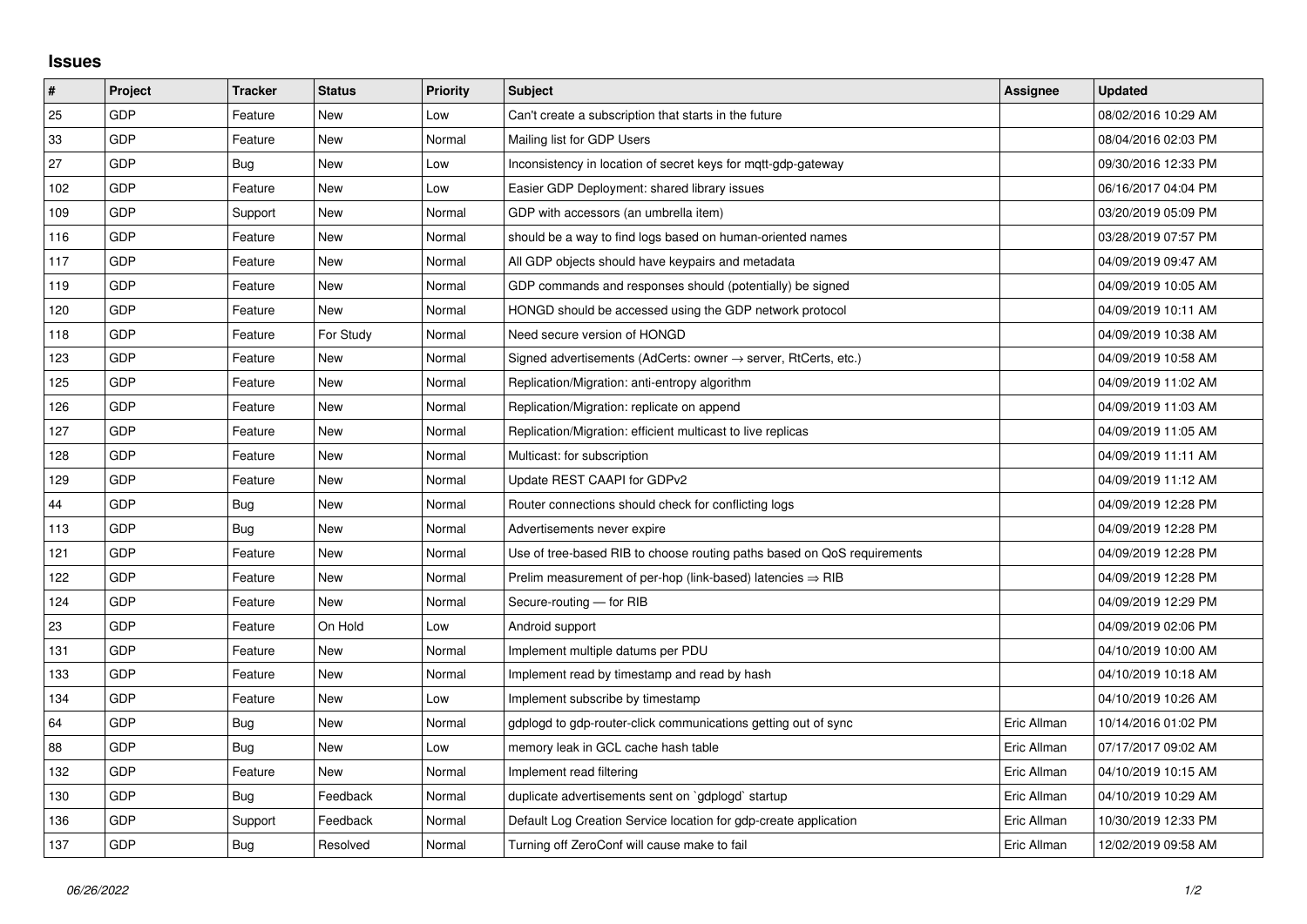## **Issues**

| $\sharp$ | Project    | <b>Tracker</b> | <b>Status</b> | <b>Priority</b> | <b>Subject</b>                                                             | Assignee    | <b>Updated</b>      |
|----------|------------|----------------|---------------|-----------------|----------------------------------------------------------------------------|-------------|---------------------|
| 25       | <b>GDP</b> | Feature        | <b>New</b>    | Low             | Can't create a subscription that starts in the future                      |             | 08/02/2016 10:29 AM |
| 33       | GDP        | Feature        | <b>New</b>    | Normal          | Mailing list for GDP Users                                                 |             | 08/04/2016 02:03 PM |
| 27       | GDP        | Bug            | New           | Low             | Inconsistency in location of secret keys for mqtt-gdp-gateway              |             | 09/30/2016 12:33 PM |
| 102      | GDP        | Feature        | <b>New</b>    | Low             | Easier GDP Deployment: shared library issues                               |             | 06/16/2017 04:04 PM |
| 109      | <b>GDP</b> | Support        | <b>New</b>    | Normal          | GDP with accessors (an umbrella item)                                      |             | 03/20/2019 05:09 PM |
| 116      | GDP        | Feature        | <b>New</b>    | Normal          | should be a way to find logs based on human-oriented names                 |             | 03/28/2019 07:57 PM |
| 117      | GDP        | Feature        | <b>New</b>    | Normal          | All GDP objects should have keypairs and metadata                          |             | 04/09/2019 09:47 AM |
| 119      | GDP        | Feature        | <b>New</b>    | Normal          | GDP commands and responses should (potentially) be signed                  |             | 04/09/2019 10:05 AM |
| 120      | <b>GDP</b> | Feature        | New           | Normal          | HONGD should be accessed using the GDP network protocol                    |             | 04/09/2019 10:11 AM |
| 118      | GDP        | Feature        | For Study     | Normal          | Need secure version of HONGD                                               |             | 04/09/2019 10:38 AM |
| 123      | <b>GDP</b> | Feature        | <b>New</b>    | Normal          | Signed advertisements (AdCerts: owner $\rightarrow$ server, RtCerts, etc.) |             | 04/09/2019 10:58 AM |
| 125      | GDP        | Feature        | New           | Normal          | Replication/Migration: anti-entropy algorithm                              |             | 04/09/2019 11:02 AM |
| 126      | GDP        | Feature        | <b>New</b>    | Normal          | Replication/Migration: replicate on append                                 |             | 04/09/2019 11:03 AM |
| 127      | <b>GDP</b> | Feature        | <b>New</b>    | Normal          | Replication/Migration: efficient multicast to live replicas                |             | 04/09/2019 11:05 AM |
| 128      | <b>GDP</b> | Feature        | New           | Normal          | Multicast: for subscription                                                |             | 04/09/2019 11:11 AM |
| 129      | GDP        | Feature        | <b>New</b>    | Normal          | Update REST CAAPI for GDPv2                                                |             | 04/09/2019 11:12 AM |
| 44       | GDP        | Bug            | <b>New</b>    | Normal          | Router connections should check for conflicting logs                       |             | 04/09/2019 12:28 PM |
| 113      | <b>GDP</b> | Bug            | New           | Normal          | Advertisements never expire                                                |             | 04/09/2019 12:28 PM |
| 121      | GDP        | Feature        | <b>New</b>    | Normal          | Use of tree-based RIB to choose routing paths based on QoS requirements    |             | 04/09/2019 12:28 PM |
| 122      | GDP        | Feature        | <b>New</b>    | Normal          | Prelim measurement of per-hop (link-based) latencies $\Rightarrow$ RIB     |             | 04/09/2019 12:28 PM |
| 124      | <b>GDP</b> | Feature        | <b>New</b>    | Normal          | Secure-routing - for RIB                                                   |             | 04/09/2019 12:29 PM |
| 23       | GDP        | Feature        | On Hold       | Low             | Android support                                                            |             | 04/09/2019 02:06 PM |
| 131      | GDP        | Feature        | <b>New</b>    | Normal          | Implement multiple datums per PDU                                          |             | 04/10/2019 10:00 AM |
| 133      | <b>GDP</b> | Feature        | <b>New</b>    | Normal          | Implement read by timestamp and read by hash                               |             | 04/10/2019 10:18 AM |
| 134      | <b>GDP</b> | Feature        | <b>New</b>    | Low             | Implement subscribe by timestamp                                           |             | 04/10/2019 10:26 AM |
| 64       | GDP        | Bug            | <b>New</b>    | Normal          | gdplogd to gdp-router-click communications getting out of sync             | Eric Allman | 10/14/2016 01:02 PM |
| 88       | <b>GDP</b> | Bug            | <b>New</b>    | Low             | memory leak in GCL cache hash table                                        | Eric Allman | 07/17/2017 09:02 AM |
| 132      | GDP        | Feature        | <b>New</b>    | Normal          | Implement read filtering                                                   | Eric Allman | 04/10/2019 10:15 AM |
| 130      | GDP        | Bug            | Feedback      | Normal          | duplicate advertisements sent on `gdplogd` startup                         | Eric Allman | 04/10/2019 10:29 AM |
| 136      | GDP        | Support        | Feedback      | Normal          | Default Log Creation Service location for gdp-create application           | Eric Allman | 10/30/2019 12:33 PM |
| 137      | GDP        | <b>Bug</b>     | Resolved      | Normal          | Turning off ZeroConf will cause make to fail                               | Eric Allman | 12/02/2019 09:58 AM |